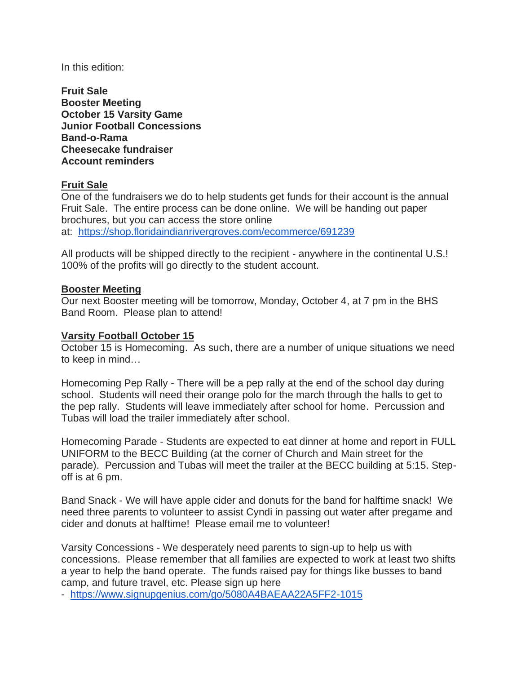In this edition:

**Fruit Sale Booster Meeting October 15 Varsity Game Junior Football Concessions Band-o-Rama Cheesecake fundraiser Account reminders**

# **Fruit Sale**

One of the fundraisers we do to help students get funds for their account is the annual Fruit Sale. The entire process can be done online. We will be handing out paper brochures, but you can access the store online at: <https://shop.floridaindianrivergroves.com/ecommerce/691239>

All products will be shipped directly to the recipient - anywhere in the continental U.S.! 100% of the profits will go directly to the student account.

## **Booster Meeting**

Our next Booster meeting will be tomorrow, Monday, October 4, at 7 pm in the BHS Band Room. Please plan to attend!

## **Varsity Football October 15**

October 15 is Homecoming. As such, there are a number of unique situations we need to keep in mind…

Homecoming Pep Rally - There will be a pep rally at the end of the school day during school. Students will need their orange polo for the march through the halls to get to the pep rally. Students will leave immediately after school for home. Percussion and Tubas will load the trailer immediately after school.

Homecoming Parade - Students are expected to eat dinner at home and report in FULL UNIFORM to the BECC Building (at the corner of Church and Main street for the parade). Percussion and Tubas will meet the trailer at the BECC building at 5:15. Stepoff is at 6 pm.

Band Snack - We will have apple cider and donuts for the band for halftime snack! We need three parents to volunteer to assist Cyndi in passing out water after pregame and cider and donuts at halftime! Please email me to volunteer!

Varsity Concessions - We desperately need parents to sign-up to help us with concessions. Please remember that all families are expected to work at least two shifts a year to help the band operate. The funds raised pay for things like busses to band camp, and future travel, etc. Please sign up here

- <https://www.signupgenius.com/go/5080A4BAEAA22A5FF2-1015>